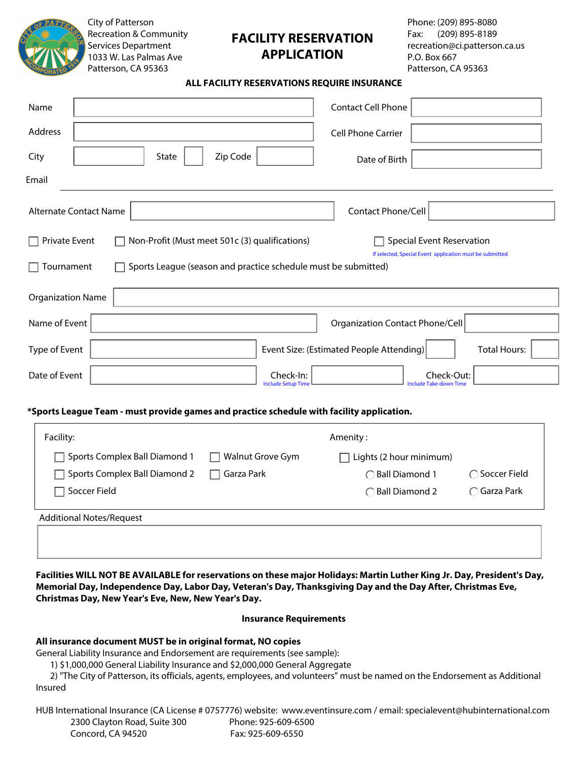

City of Patterson Recreation & Community Services Department 1033 W. Las Palmas Ave Patterson, CA 95363

# **FACILITY RESERVATION APPLICATION**

Phone: (209) 895-8080 Fax: (209) 895-8189 recreation@ci.patterson.ca.us P.O. Box 667 Patterson, CA 95363

#### **ALL FACILITY RESERVATIONS REQUIRE INSURANCE**

| Name                                                                                                                                                                                                                                            | <b>Contact Cell Phone</b>                                       |  |  |  |
|-------------------------------------------------------------------------------------------------------------------------------------------------------------------------------------------------------------------------------------------------|-----------------------------------------------------------------|--|--|--|
| Address                                                                                                                                                                                                                                         | Cell Phone Carrier                                              |  |  |  |
| Zip Code<br><b>State</b><br>City                                                                                                                                                                                                                | Date of Birth                                                   |  |  |  |
| Email                                                                                                                                                                                                                                           |                                                                 |  |  |  |
| <b>Alternate Contact Name</b>                                                                                                                                                                                                                   | Contact Phone/Cell                                              |  |  |  |
| Private Event<br>Non-Profit (Must meet 501c (3) qualifications)<br><b>Special Event Reservation</b><br>If selected, Special Event application must be submitted<br>Sports League (season and practice schedule must be submitted)<br>Tournament |                                                                 |  |  |  |
| <b>Organization Name</b>                                                                                                                                                                                                                        |                                                                 |  |  |  |
| Name of Event                                                                                                                                                                                                                                   | Organization Contact Phone/Cell                                 |  |  |  |
| Type of Event                                                                                                                                                                                                                                   | Event Size: (Estimated People Attending)<br><b>Total Hours:</b> |  |  |  |
| Date of Event<br>Check-In:<br><b>Include Setup Time</b>                                                                                                                                                                                         | Check-Out:<br><b>Include Take-down Time</b>                     |  |  |  |

#### **\*Sports League Team - must provide games and practice schedule with facility application.**

| Facility:                            |                  | Amenity:                 |                      |
|--------------------------------------|------------------|--------------------------|----------------------|
| $\Box$ Sports Complex Ball Diamond 1 | Walnut Grove Gym | Lights (2 hour minimum)  |                      |
| □ Sports Complex Ball Diamond 2      | Garza Park       | ◯ Ball Diamond 1         | ◯ Soccer Field       |
| Soccer Field                         |                  | $\bigcap$ Ball Diamond 2 | $\bigcap$ Garza Park |
| <b>Additional Notes/Request</b>      |                  |                          |                      |

**Facilities WILL NOT BE AVAILABLE for reservations on these major Holidays: Martin Luther King Jr. Day, President's Day, Memorial Day, Independence Day, Labor Day, Veteran's Day, Thanksgiving Day and the Day After, Christmas Eve, Christmas Day, New Year's Eve, New, New Year's Day.** 

#### **Insurance Requirements**

#### **All insurance document MUST be in original format, NO copies**

General Liability Insurance and Endorsement are requirements (see sample):

1) \$1,000,000 General Liability Insurance and \$2,000,000 General Aggregate

 2) "The City of Patterson, its officials, agents, employees, and volunteers" must be named on the Endorsement as Additional Insured

HUB International Insurance (CA License # 0757776) website: www.eventinsure.com / email: specialevent@hubinternational.com 2300 Clayton Road, Suite 300 Phone: 925-609-6500 Concord, CA 94520 Fax: 925-609-6550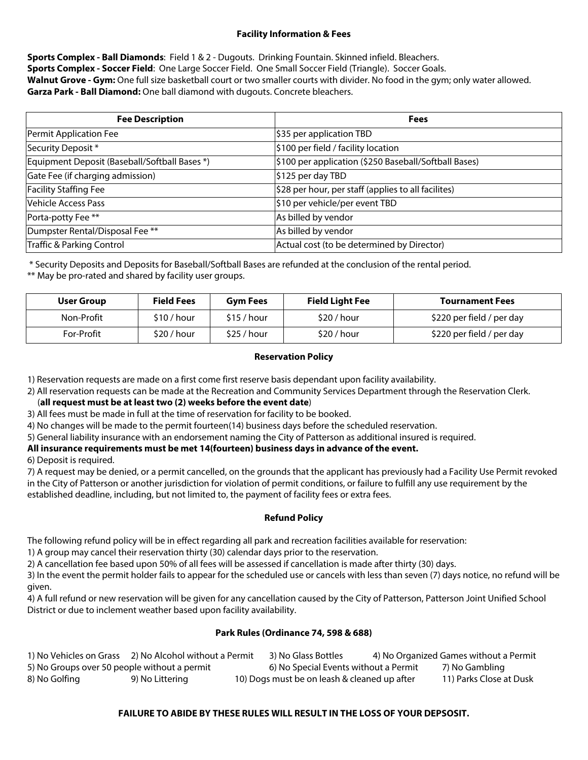### **Facility Information & Fees**

**Sports Complex - Ball Diamonds**: Field 1 & 2 - Dugouts. Drinking Fountain. Skinned infield. Bleachers. **Sports Complex - Soccer Field**: One Large Soccer Field. One Small Soccer Field (Triangle). Soccer Goals. **Walnut Grove - Gym:** One full size basketball court or two smaller courts with divider. No food in the gym; only water allowed. **Garza Park - Ball Diamond:** One ball diamond with dugouts. Concrete bleachers.

| <b>Fee Description</b>                        | <b>Fees</b>                                             |
|-----------------------------------------------|---------------------------------------------------------|
| Permit Application Fee                        | \$35 per application TBD                                |
| Security Deposit*                             | \$100 per field / facility location                     |
| Equipment Deposit (Baseball/Softball Bases *) | \$100 per application (\$250 Baseball/Softball Bases)   |
| Gate Fee (if charging admission)              | \$125 per day TBD                                       |
| <b>Facility Staffing Fee</b>                  | $ $ \$28 per hour, per staff (applies to all facilites) |
| Vehicle Access Pass                           | \$10 per vehicle/per event TBD                          |
| Porta-potty Fee **                            | As billed by vendor                                     |
| Dumpster Rental/Disposal Fee **               | As billed by vendor                                     |
| Traffic & Parking Control                     | Actual cost (to be determined by Director)              |

\* Security Deposits and Deposits for Baseball/Softball Bases are refunded at the conclusion of the rental period.

\*\* May be pro-rated and shared by facility user groups.

| <b>User Group</b> | <b>Field Fees</b> | <b>Gym Fees</b> | <b>Field Light Fee</b> | <b>Tournament Fees</b>    |
|-------------------|-------------------|-----------------|------------------------|---------------------------|
| Non-Profit        | \$10/hour         | \$15/hour       | \$20/hour              | \$220 per field / per day |
| For-Profit        | \$20/hour         | \$25/hour       | \$20/hour              | \$220 per field / per day |
|                   |                   |                 |                        |                           |

## **Reservation Policy**

1) Reservation requests are made on a first come first reserve basis dependant upon facility availability.

2) All reservation requests can be made at the Recreation and Community Services Department through the Reservation Clerk.

(**all request must be at least two (2) weeks before the event date**)

3) All fees must be made in full at the time of reservation for facility to be booked.

4) No changes will be made to the permit fourteen(14) business days before the scheduled reservation.

5) General liability insurance with an endorsement naming the City of Patterson as additional insured is required.

**All insurance requirements must be met 14(fourteen) business days in advance of the event.** 

6) Deposit is required.

7) A request may be denied, or a permit cancelled, on the grounds that the applicant has previously had a Facility Use Permit revoked in the City of Patterson or another jurisdiction for violation of permit conditions, or failure to fulfill any use requirement by the established deadline, including, but not limited to, the payment of facility fees or extra fees.

## **Refund Policy**

The following refund policy will be in effect regarding all park and recreation facilities available for reservation:

1) A group may cancel their reservation thirty (30) calendar days prior to the reservation.

2) A cancellation fee based upon 50% of all fees will be assessed if cancellation is made after thirty (30) days.

3) In the event the permit holder fails to appear for the scheduled use or cancels with less than seven (7) days notice, no refund will be given.

4) A full refund or new reservation will be given for any cancellation caused by the City of Patterson, Patterson Joint Unified School District or due to inclement weather based upon facility availability.

## **Park Rules (Ordinance 74, 598 & 688)**

| 1) No Vehicles on Grass                      | 2) No Alcohol without a Permit | 3) No Glass Bottles                          | 4) No Organized Games without a Permit |
|----------------------------------------------|--------------------------------|----------------------------------------------|----------------------------------------|
| 5) No Groups over 50 people without a permit |                                | 6) No Special Events without a Permit        | 7) No Gambling                         |
| 8) No Golfing                                | 9) No Littering                | 10) Dogs must be on leash & cleaned up after | 11) Parks Close at Dusk                |

## **FAILURE TO ABIDE BY THESE RULES WILL RESULT IN THE LOSS OF YOUR DEPSOSIT.**